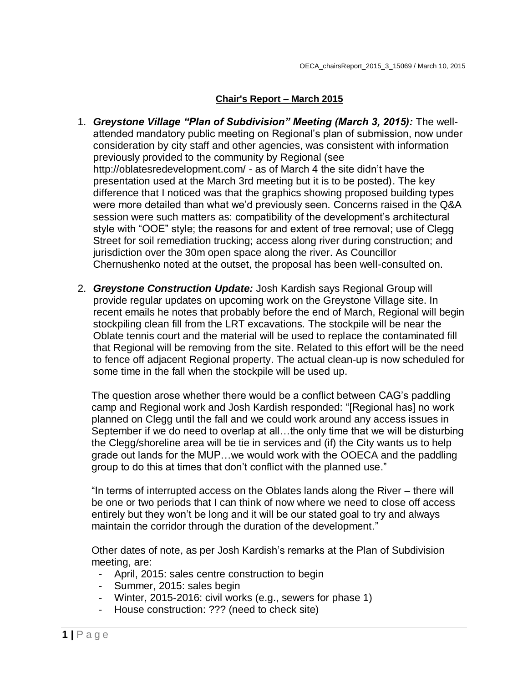# **Chair's Report – March 2015**

- 1. *Greystone Village "Plan of Subdivision" Meeting (March 3, 2015):* The wellattended mandatory public meeting on Regional's plan of submission, now under consideration by city staff and other agencies, was consistent with information previously provided to the community by Regional (see http://oblatesredevelopment.com/ - as of March 4 the site didn't have the presentation used at the March 3rd meeting but it is to be posted). The key difference that I noticed was that the graphics showing proposed building types were more detailed than what we'd previously seen. Concerns raised in the Q&A session were such matters as: compatibility of the development's architectural style with "OOE" style; the reasons for and extent of tree removal; use of Clegg Street for soil remediation trucking; access along river during construction; and jurisdiction over the 30m open space along the river. As Councillor Chernushenko noted at the outset, the proposal has been well-consulted on.
- 2. *Greystone Construction Update:* Josh Kardish says Regional Group will provide regular updates on upcoming work on the Greystone Village site. In recent emails he notes that probably before the end of March, Regional will begin stockpiling clean fill from the LRT excavations. The stockpile will be near the Oblate tennis court and the material will be used to replace the contaminated fill that Regional will be removing from the site. Related to this effort will be the need to fence off adjacent Regional property. The actual clean-up is now scheduled for some time in the fall when the stockpile will be used up.

The question arose whether there would be a conflict between CAG's paddling camp and Regional work and Josh Kardish responded: "[Regional has] no work planned on Clegg until the fall and we could work around any access issues in September if we do need to overlap at all…the only time that we will be disturbing the Clegg/shoreline area will be tie in services and (if) the City wants us to help grade out lands for the MUP…we would work with the OOECA and the paddling group to do this at times that don't conflict with the planned use."

"In terms of interrupted access on the Oblates lands along the River – there will be one or two periods that I can think of now where we need to close off access entirely but they won't be long and it will be our stated goal to try and always maintain the corridor through the duration of the development."

Other dates of note, as per Josh Kardish's remarks at the Plan of Subdivision meeting, are:

- April, 2015: sales centre construction to begin
- Summer, 2015: sales begin
- Winter, 2015-2016: civil works (e.g., sewers for phase 1)
- House construction: ??? (need to check site)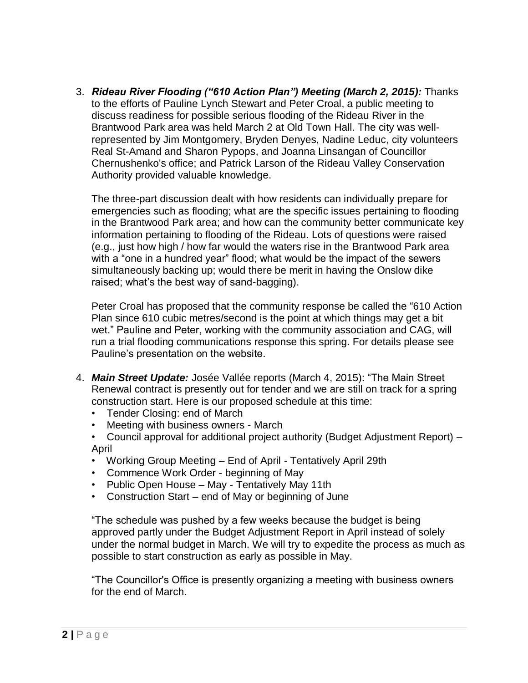3. *Rideau River Flooding ("610 Action Plan") Meeting (March 2, 2015):* Thanks to the efforts of Pauline Lynch Stewart and Peter Croal, a public meeting to discuss readiness for possible serious flooding of the Rideau River in the Brantwood Park area was held March 2 at Old Town Hall. The city was wellrepresented by Jim Montgomery, Bryden Denyes, Nadine Leduc, city volunteers Real St-Amand and Sharon Pypops, and Joanna Linsangan of Councillor Chernushenko's office; and Patrick Larson of the Rideau Valley Conservation Authority provided valuable knowledge.

The three-part discussion dealt with how residents can individually prepare for emergencies such as flooding; what are the specific issues pertaining to flooding in the Brantwood Park area; and how can the community better communicate key information pertaining to flooding of the Rideau. Lots of questions were raised (e.g., just how high / how far would the waters rise in the Brantwood Park area with a "one in a hundred year" flood; what would be the impact of the sewers simultaneously backing up; would there be merit in having the Onslow dike raised; what's the best way of sand-bagging).

Peter Croal has proposed that the community response be called the "610 Action Plan since 610 cubic metres/second is the point at which things may get a bit wet." Pauline and Peter, working with the community association and CAG, will run a trial flooding communications response this spring. For details please see Pauline's presentation on the website.

- 4. *Main Street Update:* Josée Vallée reports (March 4, 2015): "The Main Street Renewal contract is presently out for tender and we are still on track for a spring construction start. Here is our proposed schedule at this time:
	- Tender Closing: end of March
	- Meeting with business owners March
	- Council approval for additional project authority (Budget Adjustment Report) April
	- Working Group Meeting End of April Tentatively April 29th
	- Commence Work Order beginning of May
	- Public Open House May Tentatively May 11th
	- Construction Start end of May or beginning of June

"The schedule was pushed by a few weeks because the budget is being approved partly under the Budget Adjustment Report in April instead of solely under the normal budget in March. We will try to expedite the process as much as possible to start construction as early as possible in May.

"The Councillor's Office is presently organizing a meeting with business owners for the end of March.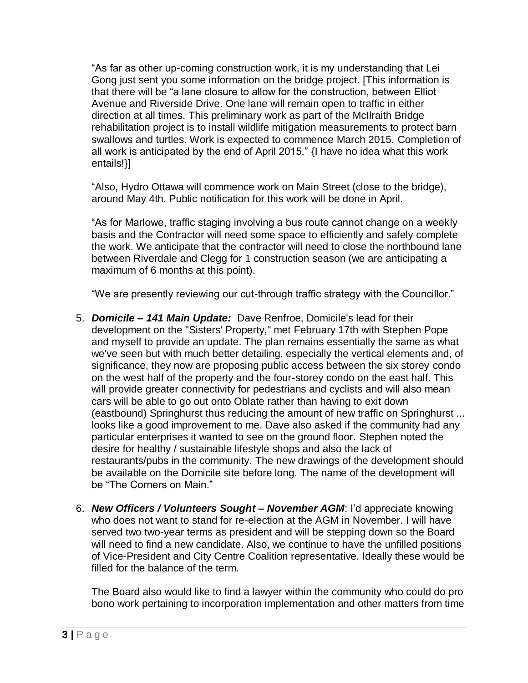"As far as other up-coming construction work, it is my understanding that Lei Gong just sent you some information on the bridge project. [This information is that there will be "a lane closure to allow for the construction, between Elliot Avenue and Riverside Drive. One lane will remain open to traffic in either direction at all times. This preliminary work as part of the McIlraith Bridge rehabilitation project is to install wildlife mitigation measurements to protect barn swallows and turtles. Work is expected to commence March 2015. Completion of all work is anticipated by the end of April 2015." {I have no idea what this work entails!}]

"Also, Hydro Ottawa will commence work on Main Street (close to the bridge), around May 4th. Public notification for this work will be done in April.

"As for Marlowe, traffic staging involving a bus route cannot change on a weekly basis and the Contractor will need some space to efficiently and safely complete the work. We anticipate that the contractor will need to close the northbound lane between Riverdale and Clegg for 1 construction season (we are anticipating a maximum of 6 months at this point).

"We are presently reviewing our cut-through traffic strategy with the Councillor."

- 5. *Domicile – 141 Main Update:* Dave Renfroe, Domicile's lead for their development on the "Sisters' Property," met February 17th with Stephen Pope and myself to provide an update. The plan remains essentially the same as what we've seen but with much better detailing, especially the vertical elements and, of significance, they now are proposing public access between the six storey condo on the west half of the property and the four-storey condo on the east half. This will provide greater connectivity for pedestrians and cyclists and will also mean cars will be able to go out onto Oblate rather than having to exit down (eastbound) Springhurst thus reducing the amount of new traffic on Springhurst ... looks like a good improvement to me. Dave also asked if the community had any particular enterprises it wanted to see on the ground floor. Stephen noted the desire for healthy / sustainable lifestyle shops and also the lack of restaurants/pubs in the community. The new drawings of the development should be available on the Domicile site before long. The name of the development will be "The Corners on Main."
- 6. *New Officers / Volunteers Sought – November AGM*: I'd appreciate knowing who does not want to stand for re-election at the AGM in November. I will have served two two-year terms as president and will be stepping down so the Board will need to find a new candidate. Also, we continue to have the unfilled positions of Vice-President and City Centre Coalition representative. Ideally these would be filled for the balance of the term.

The Board also would like to find a lawyer within the community who could do pro bono work pertaining to incorporation implementation and other matters from time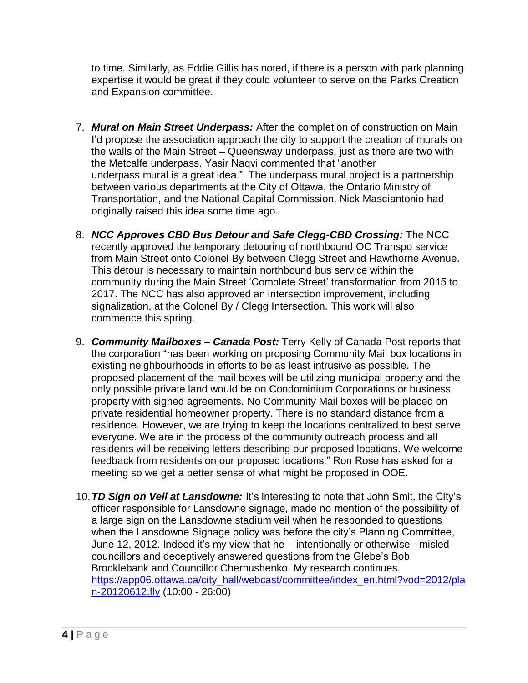to time. Similarly, as Eddie Gillis has noted, if there is a person with park planning expertise it would be great if they could volunteer to serve on the Parks Creation and Expansion committee.

- 7. *Mural on Main Street Underpass:* After the completion of construction on Main I'd propose the association approach the city to support the creation of murals on the walls of the Main Street – Queensway underpass, just as there are two with the Metcalfe underpass. Yasir Naqvi commented that "another underpass mural is a great idea." The underpass mural project is a partnership between various departments at the City of Ottawa, the Ontario Ministry of Transportation, and the National Capital Commission. Nick Masciantonio had originally raised this idea some time ago.
- 8. *NCC Approves CBD Bus Detour and Safe Clegg-CBD Crossing:* The NCC recently approved the temporary detouring of northbound OC Transpo service from Main Street onto Colonel By between Clegg Street and Hawthorne Avenue. This detour is necessary to maintain northbound bus service within the community during the Main Street 'Complete Street' transformation from 2015 to 2017. The NCC has also approved an intersection improvement, including signalization, at the Colonel By / Clegg Intersection. This work will also commence this spring.
- 9. *Community Mailboxes – Canada Post:* Terry Kelly of Canada Post reports that the corporation "has been working on proposing Community Mail box locations in existing neighbourhoods in efforts to be as least intrusive as possible. The proposed placement of the mail boxes will be utilizing municipal property and the only possible private land would be on Condominium Corporations or business property with signed agreements. No Community Mail boxes will be placed on private residential homeowner property. There is no standard distance from a residence. However, we are trying to keep the locations centralized to best serve everyone. We are in the process of the community outreach process and all residents will be receiving letters describing our proposed locations. We welcome feedback from residents on our proposed locations." Ron Rose has asked for a meeting so we get a better sense of what might be proposed in OOE.
- 10.*TD Sign on Veil at Lansdowne:* It's interesting to note that John Smit, the City's officer responsible for Lansdowne signage, made no mention of the possibility of a large sign on the Lansdowne stadium veil when he responded to questions when the Lansdowne Signage policy was before the city's Planning Committee, June 12, 2012. Indeed it's my view that he – intentionally or otherwise - misled councillors and deceptively answered questions from the Glebe's Bob Brocklebank and Councillor Chernushenko. My research continues. [https://app06.ottawa.ca/city\\_hall/webcast/committee/index\\_en.html?vod=2012/pla](https://app06.ottawa.ca/city_hall/webcast/committee/index_en.html?vod=2012/plan-20120612.flv) [n-20120612.flv](https://app06.ottawa.ca/city_hall/webcast/committee/index_en.html?vod=2012/plan-20120612.flv) (10:00 - 26:00)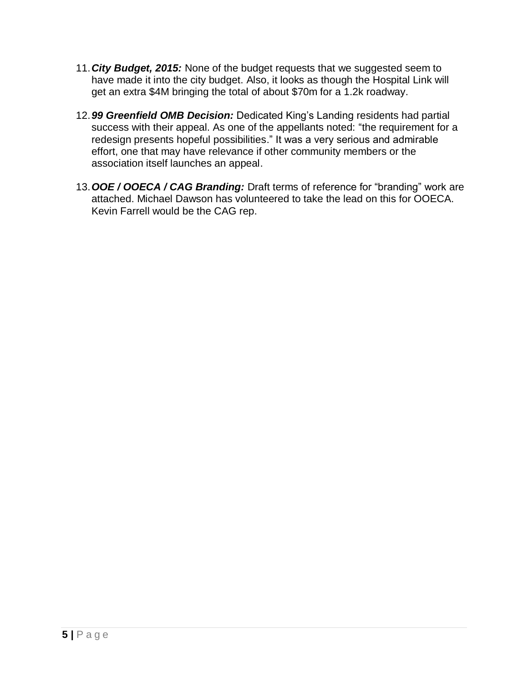- 11.*City Budget, 2015:* None of the budget requests that we suggested seem to have made it into the city budget. Also, it looks as though the Hospital Link will get an extra \$4M bringing the total of about \$70m for a 1.2k roadway.
- 12.*99 Greenfield OMB Decision:* Dedicated King's Landing residents had partial success with their appeal. As one of the appellants noted: "the requirement for a redesign presents hopeful possibilities." It was a very serious and admirable effort, one that may have relevance if other community members or the association itself launches an appeal.
- 13.*OOE / OOECA / CAG Branding:* Draft terms of reference for "branding" work are attached. Michael Dawson has volunteered to take the lead on this for OOECA. Kevin Farrell would be the CAG rep.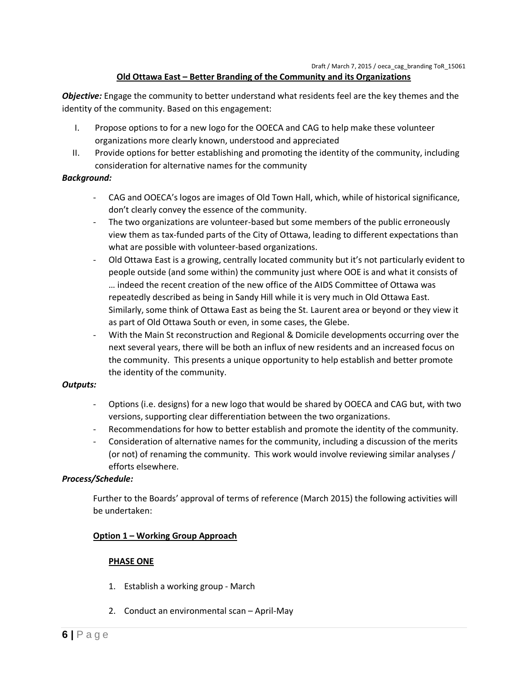## **Old Ottawa East – Better Branding of the Community and its Organizations**

*Objective:* Engage the community to better understand what residents feel are the key themes and the identity of the community. Based on this engagement:

- I. Propose options to for a new logo for the OOECA and CAG to help make these volunteer organizations more clearly known, understood and appreciated
- II. Provide options for better establishing and promoting the identity of the community, including consideration for alternative names for the community

## *Background:*

- CAG and OOECA's logos are images of Old Town Hall, which, while of historical significance, don't clearly convey the essence of the community.
- The two organizations are volunteer-based but some members of the public erroneously view them as tax-funded parts of the City of Ottawa, leading to different expectations than what are possible with volunteer-based organizations.
- Old Ottawa East is a growing, centrally located community but it's not particularly evident to people outside (and some within) the community just where OOE is and what it consists of … indeed the recent creation of the new office of the AIDS Committee of Ottawa was repeatedly described as being in Sandy Hill while it is very much in Old Ottawa East. Similarly, some think of Ottawa East as being the St. Laurent area or beyond or they view it as part of Old Ottawa South or even, in some cases, the Glebe.
- With the Main St reconstruction and Regional & Domicile developments occurring over the next several years, there will be both an influx of new residents and an increased focus on the community. This presents a unique opportunity to help establish and better promote the identity of the community.

#### *Outputs:*

- Options (i.e. designs) for a new logo that would be shared by OOECA and CAG but, with two versions, supporting clear differentiation between the two organizations.
- Recommendations for how to better establish and promote the identity of the community.
- Consideration of alternative names for the community, including a discussion of the merits (or not) of renaming the community. This work would involve reviewing similar analyses / efforts elsewhere.

#### *Process/Schedule:*

Further to the Boards' approval of terms of reference (March 2015) the following activities will be undertaken:

#### **Option 1 – Working Group Approach**

#### **PHASE ONE**

- 1. Establish a working group March
- 2. Conduct an environmental scan April-May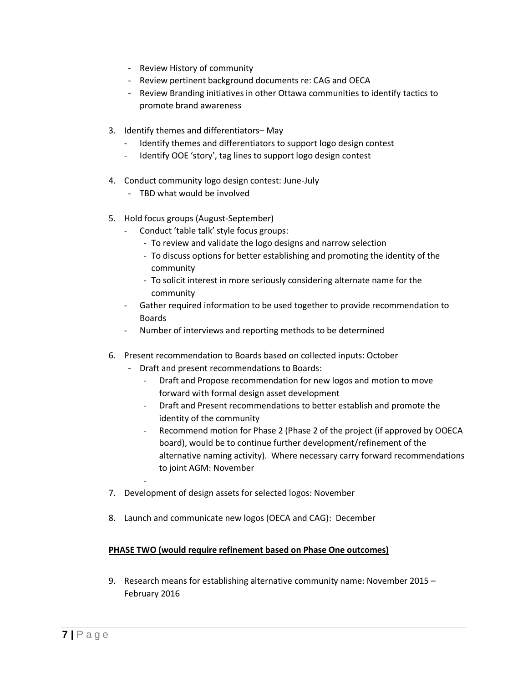- Review History of community
- Review pertinent background documents re: CAG and OECA
- Review Branding initiatives in other Ottawa communities to identify tactics to promote brand awareness
- 3. Identify themes and differentiators– May
	- Identify themes and differentiators to support logo design contest
	- Identify OOE 'story', tag lines to support logo design contest
- 4. Conduct community logo design contest: June-July
	- TBD what would be involved
- 5. Hold focus groups (August-September)
	- Conduct 'table talk' style focus groups:
		- To review and validate the logo designs and narrow selection
		- To discuss options for better establishing and promoting the identity of the community
		- To solicit interest in more seriously considering alternate name for the community
	- Gather required information to be used together to provide recommendation to Boards
	- Number of interviews and reporting methods to be determined
- 6. Present recommendation to Boards based on collected inputs: October
	- Draft and present recommendations to Boards:
		- Draft and Propose recommendation for new logos and motion to move forward with formal design asset development
		- Draft and Present recommendations to better establish and promote the identity of the community
		- Recommend motion for Phase 2 (Phase 2 of the project (if approved by OOECA board), would be to continue further development/refinement of the alternative naming activity). Where necessary carry forward recommendations to joint AGM: November
- 7. Development of design assets for selected logos: November

-

8. Launch and communicate new logos (OECA and CAG): December

#### **PHASE TWO (would require refinement based on Phase One outcomes)**

9. Research means for establishing alternative community name: November 2015 – February 2016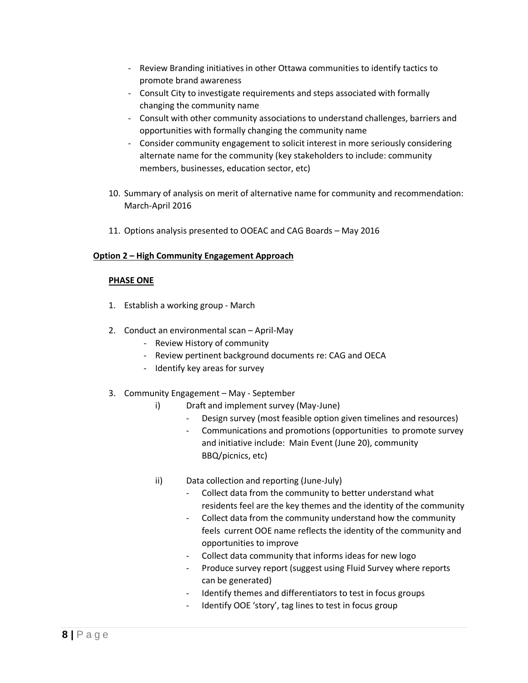- Review Branding initiatives in other Ottawa communities to identify tactics to promote brand awareness
- Consult City to investigate requirements and steps associated with formally changing the community name
- Consult with other community associations to understand challenges, barriers and opportunities with formally changing the community name
- Consider community engagement to solicit interest in more seriously considering alternate name for the community (key stakeholders to include: community members, businesses, education sector, etc)
- 10. Summary of analysis on merit of alternative name for community and recommendation: March-April 2016
- 11. Options analysis presented to OOEAC and CAG Boards May 2016

## **Option 2 – High Community Engagement Approach**

## **PHASE ONE**

- 1. Establish a working group March
- 2. Conduct an environmental scan April-May
	- Review History of community
	- Review pertinent background documents re: CAG and OECA
	- Identify key areas for survey
- 3. Community Engagement May September
	- i) Draft and implement survey (May-June)
		- Design survey (most feasible option given timelines and resources)
		- Communications and promotions (opportunities to promote survey and initiative include: Main Event (June 20), community BBQ/picnics, etc)
	- ii) Data collection and reporting (June-July)
		- Collect data from the community to better understand what residents feel are the key themes and the identity of the community
		- Collect data from the community understand how the community feels current OOE name reflects the identity of the community and opportunities to improve
		- Collect data community that informs ideas for new logo
		- Produce survey report (suggest using Fluid Survey where reports can be generated)
		- Identify themes and differentiators to test in focus groups
		- Identify OOE 'story', tag lines to test in focus group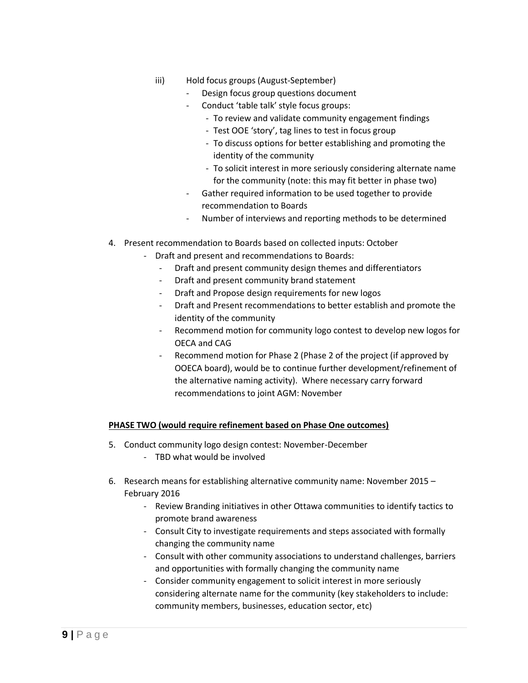- iii) Hold focus groups (August-September)
	- Design focus group questions document
	- Conduct 'table talk' style focus groups:
		- To review and validate community engagement findings
		- Test OOE 'story', tag lines to test in focus group
		- To discuss options for better establishing and promoting the identity of the community
		- To solicit interest in more seriously considering alternate name for the community (note: this may fit better in phase two)
	- Gather required information to be used together to provide recommendation to Boards
	- Number of interviews and reporting methods to be determined
- 4. Present recommendation to Boards based on collected inputs: October
	- Draft and present and recommendations to Boards:
		- Draft and present community design themes and differentiators
		- Draft and present community brand statement
		- Draft and Propose design requirements for new logos
		- Draft and Present recommendations to better establish and promote the identity of the community
		- Recommend motion for community logo contest to develop new logos for OECA and CAG
		- Recommend motion for Phase 2 (Phase 2 of the project (if approved by OOECA board), would be to continue further development/refinement of the alternative naming activity). Where necessary carry forward recommendations to joint AGM: November

## **PHASE TWO (would require refinement based on Phase One outcomes)**

- 5. Conduct community logo design contest: November-December
	- TBD what would be involved
- 6. Research means for establishing alternative community name: November 2015 February 2016
	- Review Branding initiatives in other Ottawa communities to identify tactics to promote brand awareness
	- Consult City to investigate requirements and steps associated with formally changing the community name
	- Consult with other community associations to understand challenges, barriers and opportunities with formally changing the community name
	- Consider community engagement to solicit interest in more seriously considering alternate name for the community (key stakeholders to include: community members, businesses, education sector, etc)